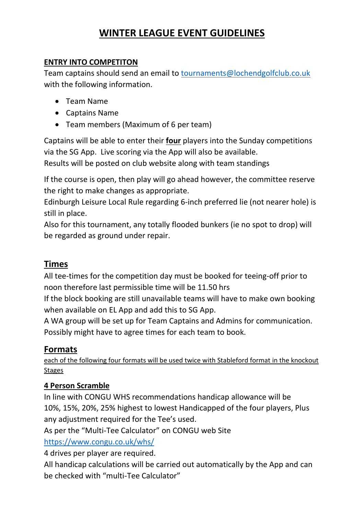# **WINTER LEAGUE EVENT GUIDELINES**

#### **ENTRY INTO COMPETITON**

Team captains should send an email to [tournaments@lochendgolfclub.co.uk](mailto:tournaments@lochendgolfclub.co.uk) with the following information.

- Team Name
- Captains Name
- Team members (Maximum of 6 per team)

Captains will be able to enter their **four** players into the Sunday competitions via the SG App. Live scoring via the App will also be available.

Results will be posted on club website along with team standings

If the course is open, then play will go ahead however, the committee reserve the right to make changes as appropriate.

Edinburgh Leisure Local Rule regarding 6-inch preferred lie (not nearer hole) is still in place.

Also for this tournament, any totally flooded bunkers (ie no spot to drop) will be regarded as ground under repair.

# **Times**

All tee-times for the competition day must be booked for teeing-off prior to noon therefore last permissible time will be 11.50 hrs

If the block booking are still unavailable teams will have to make own booking when available on EL App and add this to SG App.

A WA group will be set up for Team Captains and Admins for communication. Possibly might have to agree times for each team to book.

# **Formats**

each of the following four formats will be used twice with Stableford format in the knockout Stages

#### **4 Person Scramble**

In line with CONGU WHS recommendations handicap allowance will be 10%, 15%, 20%, 25% highest to lowest Handicapped of the four players, Plus any adjustment required for the Tee's used.

As per the "Multi-Tee Calculator" on CONGU web Site

<https://www.congu.co.uk/whs/>

4 drives per player are required.

All handicap calculations will be carried out automatically by the App and can be checked with "multi-Tee Calculator"